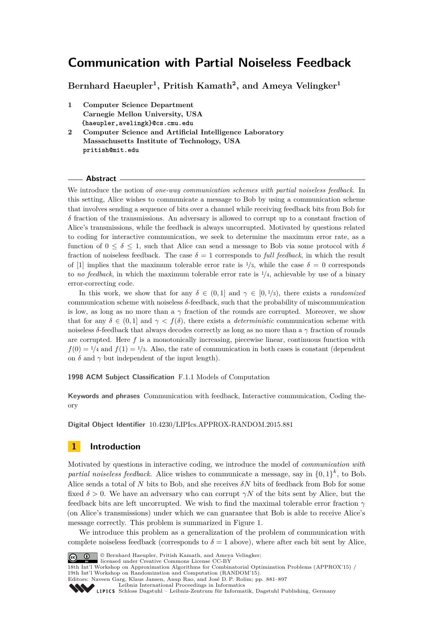**Bernhard Haeupler<sup>1</sup> , Pritish Kamath<sup>2</sup> , and Ameya Velingker<sup>1</sup>**

- **1 Computer Science Department Carnegie Mellon University, USA {haeupler,avelingk}@cs.cmu.edu**
- **2 Computer Science and Artificial Intelligence Laboratory Massachusetts Institute of Technology, USA pritish@mit.edu**

#### **Abstract**

We introduce the notion of *one-way communication schemes with partial noiseless feedback*. In this setting, Alice wishes to communicate a message to Bob by using a communication scheme that involves sending a sequence of bits over a channel while receiving feedback bits from Bob for *δ* fraction of the transmissions. An adversary is allowed to corrupt up to a constant fraction of Alice's transmissions, while the feedback is always uncorrupted. Motivated by questions related to coding for interactive communication, we seek to determine the maximum error rate, as a function of  $0 \leq \delta \leq 1$ , such that Alice can send a message to Bob via some protocol with  $\delta$ fraction of noiseless feedback. The case  $\delta = 1$  corresponds to *full feedback*, in which the result of [\[1\]](#page-14-0) implies that the maximum tolerable error rate is  $\frac{1}{3}$ , while the case  $\delta = 0$  corresponds to *no feedback*, in which the maximum tolerable error rate is <sup>1</sup>*/*4, achievable by use of a binary error-correcting code.

In this work, we show that for any  $\delta \in (0,1]$  and  $\gamma \in [0,1/3)$ , there exists a *randomized* communication scheme with noiseless *δ*-feedback, such that the probability of miscommunication is low, as long as no more than a  $\gamma$  fraction of the rounds are corrupted. Moreover, we show that for any  $\delta \in (0,1]$  and  $\gamma < f(\delta)$ , there exists a *deterministic* communication scheme with noiseless *δ*-feedback that always decodes correctly as long as no more than a *γ* fraction of rounds are corrupted. Here  $f$  is a monotonically increasing, piecewise linear, continuous function with  $f(0) = 1/4$  and  $f(1) = 1/3$ . Also, the rate of communication in both cases is constant (dependent on  $\delta$  and  $\gamma$  but independent of the input length).

**1998 ACM Subject Classification** F.1.1 Models of Computation

**Keywords and phrases** Communication with feedback, Interactive communication, Coding theory

**Digital Object Identifier** [10.4230/LIPIcs.APPROX-RANDOM.2015.881](http://dx.doi.org/10.4230/LIPIcs.APPROX-RANDOM.2015.881)

### **1 Introduction**

Motivated by questions in interactive coding, we introduce the model of *communication with* partial noiseless feedback. Alice wishes to communicate a message, say in  $\{0,1\}^k$ , to Bob. Alice sends a total of *N* bits to Bob, and she receives  $\delta N$  bits of feedback from Bob for some fixed  $\delta > 0$ . We have an adversary who can corrupt  $\gamma N$  of the bits sent by Alice, but the feedback bits are left uncorrupted. We wish to find the maximal tolerable error fraction *γ* (on Alice's transmissions) under which we can guarantee that Bob is able to receive Alice's message correctly. This problem is summarized in Figure [1.](#page-1-0)

We introduce this problem as a generalization of the problem of communication with complete noiseless feedback (corresponds to  $\delta = 1$  above), where after each bit sent by Alice,



© Bernhard Haeupler, Pritish Kamath, and Ameya Velingker;

licensed under Creative Commons License CC-BY

[Schloss Dagstuhl – Leibniz-Zentrum für Informatik, Dagstuhl Publishing, Germany](http://www.dagstuhl.de)

<sup>18</sup>th Int'l Workshop on Approximation Algorithms for Combinatorial Optimization Problems (APPROX'15) / 19th Int'l Workshop on Randomization and Computation (RANDOM'15).

Editors: Naveen Garg, Klaus Jansen, Anup Rao, and José D. P. Rolim; pp. 881[–897](#page-16-0)

[Leibniz International Proceedings in Informatics](http://www.dagstuhl.de/lipics/)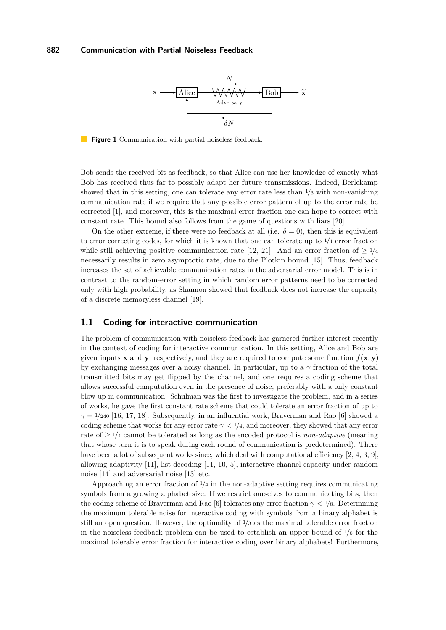<span id="page-1-0"></span>

**Figure 1** Communication with partial noiseless feedback.

Bob sends the received bit as feedback, so that Alice can use her knowledge of exactly what Bob has received thus far to possibly adapt her future transmissions. Indeed, Berlekamp showed that in this setting, one can tolerate any error rate less than <sup>1</sup>*/*<sup>3</sup> with non-vanishing communication rate if we require that any possible error pattern of up to the error rate be corrected [\[1\]](#page-14-0), and moreover, this is the maximal error fraction one can hope to correct with constant rate. This bound also follows from the game of questions with liars [\[20\]](#page-15-0).

On the other extreme, if there were no feedback at all (i.e.  $\delta = 0$ ), then this is equivalent to error correcting codes, for which it is known that one can tolerate up to <sup>1</sup>*/*<sup>4</sup> error fraction while still achieving positive communication rate [\[12,](#page-15-1) [21\]](#page-15-2). And an error fraction of  $> 1/4$ necessarily results in zero asymptotic rate, due to the Plotkin bound [\[15\]](#page-15-3). Thus, feedback increases the set of achievable communication rates in the adversarial error model. This is in contrast to the random-error setting in which random error patterns need to be corrected only with high probability, as Shannon showed that feedback does not increase the capacity of a discrete memoryless channel [\[19\]](#page-15-4).

### **1.1 Coding for interactive communication**

The problem of communication with noiseless feedback has garnered further interest recently in the context of coding for interactive communication. In this setting, Alice and Bob are given inputs **x** and **y**, respectively, and they are required to compute some function  $f(\mathbf{x}, \mathbf{y})$ by exchanging messages over a noisy channel. In particular, up to a *γ* fraction of the total transmitted bits may get flipped by the channel, and one requires a coding scheme that allows successful computation even in the presence of noise, preferably with a only constant blow up in communication. Schulman was the first to investigate the problem, and in a series of works, he gave the first constant rate scheme that could tolerate an error fraction of up to  $\gamma = 1/240$  [\[16,](#page-15-5) [17,](#page-15-6) [18\]](#page-15-7). Subsequently, in an influential work, Braverman and Rao [\[6\]](#page-14-1) showed a coding scheme that works for any error rate  $\gamma < 1/4$ , and moreover, they showed that any error rate of  $\geq 1/4$  cannot be tolerated as long as the encoded protocol is *non-adaptive* (meaning that whose turn it is to speak during each round of communication is predetermined). There have been a lot of subsequent works since, which deal with computational efficiency [\[2,](#page-14-2) [4,](#page-14-3) [3,](#page-14-4) [9\]](#page-14-5), allowing adaptivity [\[11\]](#page-15-8), list-decoding [\[11,](#page-15-8) [10,](#page-15-9) [5\]](#page-14-6), interactive channel capacity under random noise [\[14\]](#page-15-10) and adversarial noise [\[13\]](#page-15-11) etc.

Approaching an error fraction of <sup>1</sup>*/*<sup>4</sup> in the non-adaptive setting requires communicating symbols from a growing alphabet size. If we restrict ourselves to communicating bits, then the coding scheme of Braverman and Rao [\[6\]](#page-14-1) tolerates any error fraction *γ <* <sup>1</sup>*/*8. Determining the maximum tolerable noise for interactive coding with symbols from a binary alphabet is still an open question. However, the optimality of <sup>1</sup>*/*<sup>3</sup> as the maximal tolerable error fraction in the noiseless feedback problem can be used to establish an upper bound of <sup>1</sup>*/*<sup>6</sup> for the maximal tolerable error fraction for interactive coding over binary alphabets! Furthermore,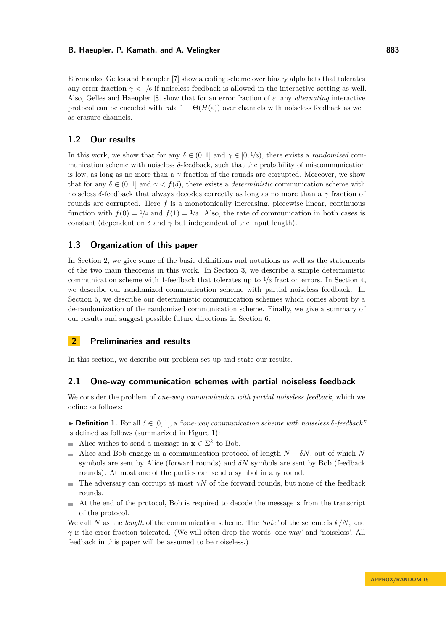Efremenko, Gelles and Haeupler [\[7\]](#page-14-7) show a coding scheme over binary alphabets that tolerates any error fraction  $\gamma < 1/6$  if noiseless feedback is allowed in the interactive setting as well. Also, Gelles and Haeupler [\[8\]](#page-14-8) show that for an error fraction of *ε*, any *alternating* interactive protocol can be encoded with rate  $1 - \Theta(H(\varepsilon))$  over channels with noiseless feedback as well as erasure channels.

### **1.2 Our results**

In this work, we show that for any  $\delta \in (0,1]$  and  $\gamma \in [0,1/3)$ , there exists a *randomized* communication scheme with noiseless *δ*-feedback, such that the probability of miscommunication is low, as long as no more than a  $\gamma$  fraction of the rounds are corrupted. Moreover, we show that for any  $\delta \in (0,1]$  and  $\gamma < f(\delta)$ , there exists a *deterministic* communication scheme with noiseless *δ*-feedback that always decodes correctly as long as no more than a *γ* fraction of rounds are corrupted. Here *f* is a monotonically increasing, piecewise linear, continuous function with  $f(0) = 1/4$  and  $f(1) = 1/3$ . Also, the rate of communication in both cases is constant (dependent on  $\delta$  and  $\gamma$  but independent of the input length).

### **1.3 Organization of this paper**

In Section [2,](#page-2-0) we give some of the basic definitions and notations as well as the statements of the two main theorems in this work. In Section [3,](#page-4-0) we describe a simple deterministic communication scheme with 1-feedback that tolerates up to <sup>1</sup>*/*<sup>3</sup> fraction errors. In Section [4,](#page-7-0) we describe our randomized communication scheme with partial noiseless feedback. In Section [5,](#page-9-0) we describe our deterministic communication schemes which comes about by a de-randomization of the randomized communication scheme. Finally, we give a summary of our results and suggest possible future directions in Section [6.](#page-13-0)

## <span id="page-2-0"></span>**2 Preliminaries and results**

In this section, we describe our problem set-up and state our results.

#### **2.1 One-way communication schemes with partial noiseless feedback**

We consider the problem of *one-way communication with partial noiseless feedback*, which we define as follows:

 $\triangleright$  **Definition 1.** For all  $\delta \in [0, 1]$ , a *"one-way communication scheme with noiseless*  $\delta$ -feedback" is defined as follows (summarized in Figure [1\)](#page-1-0):

- Alice wishes to send a message in  $\mathbf{x} \in \Sigma^k$  to Bob.
- Alice and Bob engage in a communication protocol of length  $N + \delta N$ , out of which *N*  $\rightarrow$ symbols are sent by Alice (forward rounds) and  $\delta N$  symbols are sent by Bob (feedback rounds). At most one of the parties can send a symbol in any round.
- The adversary can corrupt at most *γN* of the forward rounds, but none of the feedback rounds.
- At the end of the protocol, Bob is required to decode the message **x** from the transcript  $\blacksquare$ of the protocol.

We call *N* as the *length* of the communication scheme. The *'rate'* of the scheme is *k/N*, and *γ* is the error fraction tolerated. (We will often drop the words 'one-way' and 'noiseless'. All feedback in this paper will be assumed to be noiseless.)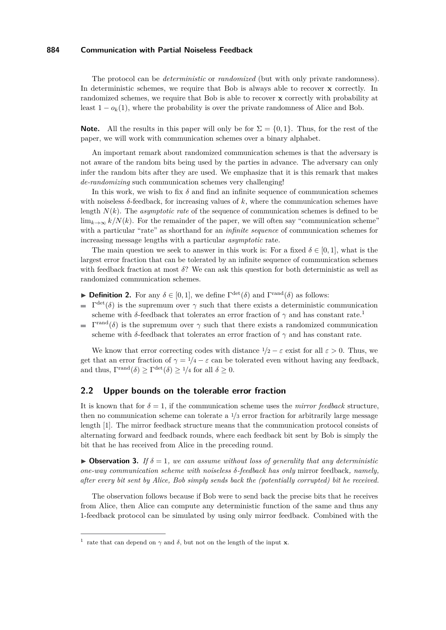The protocol can be *deterministic* or *randomized* (but with only private randomness). In deterministic schemes, we require that Bob is always able to recover **x** correctly. In randomized schemes, we require that Bob is able to recover **x** correctly with probability at least  $1 - o_k(1)$ , where the probability is over the private randomness of Alice and Bob.

**Note.** All the results in this paper will only be for  $\Sigma = \{0, 1\}$ . Thus, for the rest of the paper, we will work with communication schemes over a binary alphabet.

An important remark about randomized communication schemes is that the adversary is not aware of the random bits being used by the parties in advance. The adversary can only infer the random bits after they are used. We emphasize that it is this remark that makes *de-randomizing* such communication schemes very challenging!

In this work, we wish to fix  $\delta$  and find an infinite sequence of communication schemes with noiseless *δ*-feedback, for increasing values of *k*, where the communication schemes have length  $N(k)$ . The *asymptotic rate* of the sequence of communication schemes is defined to be  $\lim_{k\to\infty} k/N(k)$ . For the remainder of the paper, we will often say "communication scheme" with a particular "rate" as shorthand for an *infinite sequence* of communication schemes for increasing message lengths with a particular *asymptotic* rate.

The main question we seek to answer in this work is: For a fixed  $\delta \in [0,1]$ , what is the largest error fraction that can be tolerated by an infinite sequence of communication schemes with feedback fraction at most *δ*? We can ask this question for both deterministic as well as randomized communication schemes.

- **Definition 2.** For any  $\delta \in [0, 1]$ , we define  $\Gamma^{\text{det}}(\delta)$  and  $\Gamma^{\text{rand}}(\delta)$  as follows:
- $\Gamma^{\text{det}}(\delta)$  is the supremum over  $\gamma$  such that there exists a deterministic communication scheme with *δ*-feedback that tolerates an error fraction of  $\gamma$  and has constant rate.<sup>[1](#page-3-0)</sup>
- $\Gamma^{\text{rand}}(\delta)$  is the supremum over *γ* such that there exists a randomized communication scheme with *δ*-feedback that tolerates an error fraction of  $\gamma$  and has constant rate.

We know that error correcting codes with distance  $1/2 - \varepsilon$  exist for all  $\varepsilon > 0$ . Thus, we get that an error fraction of  $\gamma = 1/4 - \varepsilon$  can be tolerated even without having any feedback, and thus,  $\Gamma^{\text{rand}}(\delta) \geq \Gamma^{\text{det}}(\delta) \geq 1/4$  for all  $\delta \geq 0$ .

### **2.2 Upper bounds on the tolerable error fraction**

It is known that for  $\delta = 1$ , if the communication scheme uses the *mirror feedback* structure, then no communication scheme can tolerate a <sup>1</sup>*/*<sup>3</sup> error fraction for arbitrarily large message length [\[1\]](#page-14-0). The mirror feedback structure means that the communication protocol consists of alternating forward and feedback rounds, where each feedback bit sent by Bob is simply the bit that he has received from Alice in the preceding round.

 $\triangleright$  **Observation 3.** *If*  $\delta = 1$ *, we can assume without loss of generality that any deterministic one-way communication scheme with noiseless δ-feedback has only* mirror feedback*, namely, after every bit sent by Alice, Bob simply sends back the (potentially corrupted) bit he received.*

The observation follows because if Bob were to send back the precise bits that he receives from Alice, then Alice can compute any deterministic function of the same and thus any 1-feedback protocol can be simulated by using only mirror feedback. Combined with the

<span id="page-3-0"></span><sup>&</sup>lt;sup>1</sup> rate that can depend on  $\gamma$  and  $\delta$ , but not on the length of the input **x**.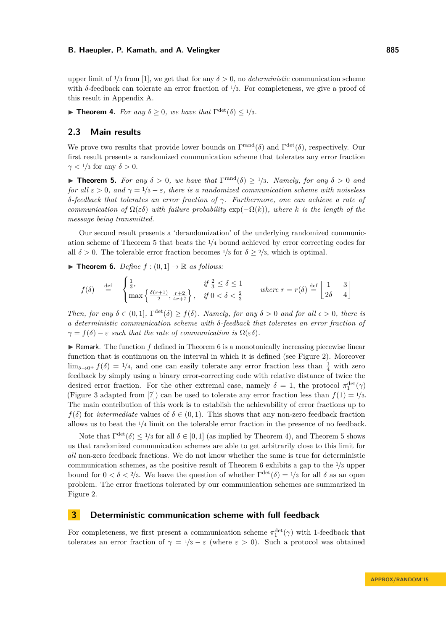upper limit of  $\frac{1}{3}$  from [\[1\]](#page-14-0), we get that for any  $\delta > 0$ , no *deterministic* communication scheme with *δ*-feedback can tolerate an error fraction of <sup>1</sup>*/*3. For completeness, we give a proof of this result in Appendix [A.](#page-15-12)

<span id="page-4-3"></span>**Find Theorem 4.** *For any*  $\delta \geq 0$ *, we have that*  $\Gamma^{\text{det}}(\delta) \leq 1/3$ *.* 

### **2.3 Main results**

We prove two results that provide lower bounds on  $\Gamma^{\text{rand}}(\delta)$  and  $\Gamma^{\text{det}}(\delta)$ , respectively. Our first result presents a randomized communication scheme that tolerates any error fraction  $\gamma$  < <sup>1</sup>/<sub>3</sub> for any  $\delta$  > 0.

<span id="page-4-1"></span>**Find 1 F 5.** *For any*  $\delta > 0$ *, we have that*  $\Gamma^{\text{rand}}(\delta) \ge 1/3$ *. Namely, for any*  $\delta > 0$  *and for all*  $\varepsilon > 0$ *, and*  $\gamma = 1/3 - \varepsilon$ *, there is a randomized communication scheme with noiseless δ-feedback that tolerates an error fraction of γ. Furthermore, one can achieve a rate of communication of*  $\Omega(\varepsilon\delta)$  *with failure probability*  $\exp(-\Omega(k))$ *, where k is the length of the message being transmitted.*

Our second result presents a 'derandomization' of the underlying randomized communication scheme of Theorem [5](#page-4-1) that beats the <sup>1</sup>*/*<sup>4</sup> bound achieved by error correcting codes for all  $\delta > 0$ . The tolerable error fraction becomes  $\frac{1}{3}$  for  $\delta > \frac{2}{3}$ , which is optimal.

<span id="page-4-2"></span>**Findment 6.** *Define*  $f : (0,1] \rightarrow \mathbb{R}$  *as follows:* 

$$
f(\delta) \stackrel{\text{def}}{=} \begin{cases} \frac{1}{3}, & \text{if } \frac{2}{3} \le \delta \le 1 \\ \max\left\{\frac{\delta(r+1)}{2}, \frac{r+2}{4r+7}\right\}, & \text{if } 0 < \delta < \frac{2}{3} \end{cases} \quad \text{where } r = r(\delta) \stackrel{\text{def}}{=} \left\lfloor \frac{1}{2\delta} - \frac{3}{4} \right\rfloor
$$

*Then, for any*  $\delta \in (0,1]$ ,  $\Gamma^{\text{det}}(\delta) \ge f(\delta)$ *. Namely, for any*  $\delta > 0$  *and for all*  $\epsilon > 0$ *, there is a deterministic communication scheme with δ-feedback that tolerates an error fraction of*  $\gamma = f(\delta) - \varepsilon$  *such that the rate of communication is*  $\Omega(\varepsilon \delta)$ *.* 

 $\triangleright$  Remark. The function  $f$  defined in Theorem [6](#page-4-2) is a monotonically increasing piecewise linear function that is continuous on the interval in which it is defined (see Figure [2\)](#page-5-0). Moreover  $\lim_{\delta \to 0^+} f(\delta) = 1/4$ , and one can easily tolerate any error fraction less than  $\frac{1}{4}$  with zero feedback by simply using a binary error-correcting code with relative distance of twice the desired error fraction. For the other extremal case, namely  $\delta = 1$ , the protocol  $\pi_1^{\text{det}}(\gamma)$ (Figure [3](#page-6-0) adapted from [\[7\]](#page-14-7)) can be used to tolerate any error fraction less than  $f(1) = \frac{1}{3}$ . The main contribution of this work is to establish the achievability of error fractions up to *f*( $\delta$ ) for *intermediate* values of  $\delta \in (0,1)$ . This shows that any non-zero feedback fraction allows us to beat the <sup>1</sup>*/*<sup>4</sup> limit on the tolerable error fraction in the presence of no feedback.

Note that  $\Gamma^{\text{det}}(\delta) \leq 1/3$  for all  $\delta \in [0,1]$  (as implied by Theorem [4\)](#page-4-3), and Theorem [5](#page-4-1) shows us that randomized communication schemes are able to get arbitrarily close to this limit for *all* non-zero feedback fractions. We do not know whether the same is true for deterministic communication schemes, as the positive result of Theorem [6](#page-4-2) exhibits a gap to the <sup>1</sup>*/*<sup>3</sup> upper bound for  $0 < \delta < 2/3$ . We leave the question of whether  $\Gamma^{\text{det}}(\delta) = 1/3$  for all  $\delta$  as an open problem. The error fractions tolerated by our communication schemes are summarized in Figure [2.](#page-5-0)

### <span id="page-4-0"></span>**3 Deterministic communication scheme with full feedback**

For completeness, we first present a communication scheme  $\pi_1^{\text{det}}(\gamma)$  with 1-feedback that tolerates an error fraction of  $\gamma = 1/3 - \varepsilon$  (where  $\varepsilon > 0$ ). Such a protocol was obtained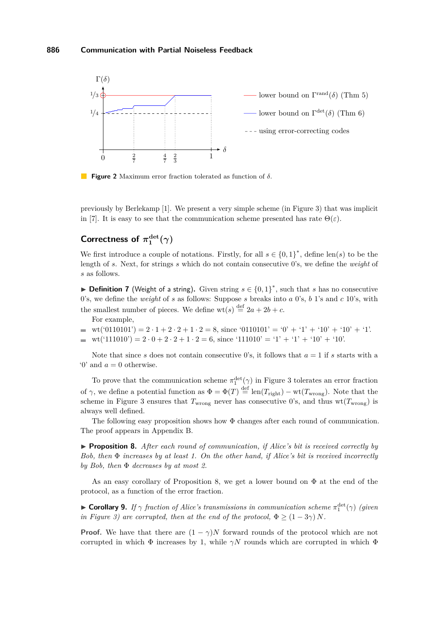<span id="page-5-0"></span>

**Figure 2** Maximum error fraction tolerated as function of *δ*.

previously by Berlekamp [\[1\]](#page-14-0). We present a very simple scheme (in Figure [3\)](#page-6-0) that was implicit in [\[7\]](#page-14-7). It is easy to see that the communication scheme presented has rate  $\Theta(\varepsilon)$ .

#### Correctness of  $\pi_1^{\text{det}}$  $\frac{\det}{1}(\gamma)$

We first introduce a couple of notations. Firstly, for all  $s \in \{0,1\}^*$ , define len(*s*) to be the length of *s*. Next, for strings *s* which do not contain consecutive 0's, we define the *weight* of *s* as follows.

▶ **Definition 7** (Weight of a string). Given string  $s \in \{0,1\}^*$ , such that *s* has no consecutive 0's, we define the *weight* of *s* as follows: Suppose *s* breaks into *a* 0's, *b* 1's and *c* 10's, with the smallest number of pieces. We define  $wt(s) \stackrel{\text{def}}{=} 2a + 2b + c$ .

For example,

- $\bullet$  wt('0110101') = 2 · 1 + 2 · 2 + 1 · 2 = 8, since '0110101' = '0' + '1' + '10' + '10' + '1'.
- $\bullet$  wt('111010') = 2 · 0 + 2 · 2 + 1 · 2 = 6, since '111010' = '1' + '1' + '10' + '10'.

Note that since *s* does not contain consecutive 0's, it follows that  $a = 1$  if *s* starts with a  $\theta$  and  $a = 0$  otherwise.

To prove that the communication scheme  $\pi_1^{\text{det}}(\gamma)$  in Figure [3](#page-6-0) tolerates an error fraction of  $\gamma$ , we define a potential function as  $\Phi = \Phi(T) \stackrel{\text{def}}{=} \text{len}(T_{\text{right}}) - \text{wt}(T_{\text{wrong}})$ . Note that the scheme in Figure [3](#page-6-0) ensures that  $T_{\text{wrong}}$  never has consecutive 0's, and thus  $wt(T_{\text{wrong}})$  is always well defined.

The following easy proposition shows how  $\Phi$  changes after each round of communication. The proof appears in Appendix [B.](#page-16-1)

<span id="page-5-1"></span>▶ **Proposition 8.** *After each round of communication, if Alice's bit is received correctly by Bob, then* Φ *increases by at least 1. On the other hand, if Alice's bit is received incorrectly by Bob, then* Φ *decreases by at most 2.*

As an easy corollary of Proposition [8,](#page-5-1) we get a lower bound on  $\Phi$  at the end of the protocol, as a function of the error fraction.

<span id="page-5-2"></span>**Example 15 Corollary 9.** *If*  $\gamma$  *fraction of Alice's transmissions in communication scheme*  $\pi_1^{\text{det}}(\gamma)$  (given *in Figure* [3\)](#page-6-0) are corrupted, then at the end of the protocol,  $\Phi \geq (1-3\gamma) N$ .

**Proof.** We have that there are  $(1 - \gamma)N$  forward rounds of the protocol which are not corrupted in which  $\Phi$  increases by 1, while  $\gamma N$  rounds which are corrupted in which  $\Phi$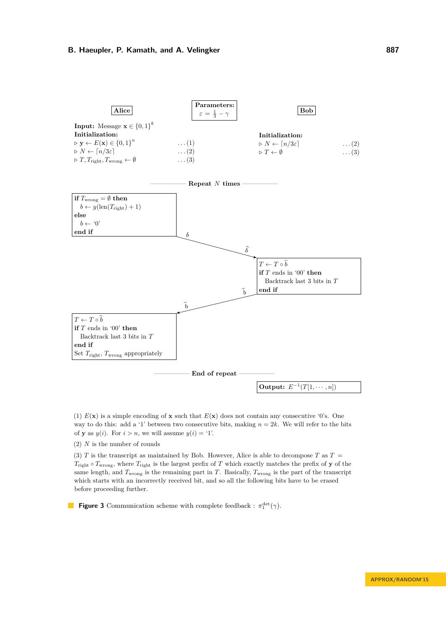<span id="page-6-0"></span>

(1)  $E(\mathbf{x})$  is a simple encoding of **x** such that  $E(\mathbf{x})$  does not contain any consecutive '0's. One way to do this: add a '1' between two consecutive bits, making  $n = 2k$ . We will refer to the bits of **y** as  $y(i)$ . For  $i > n$ , we will assume  $y(i) = '1'$ .

(2) *N* is the number of rounds

(3) *T* is the transcript as maintained by Bob. However, Alice is able to decompose *T* as  $T =$  $T_{\text{right}} \circ T_{\text{wrong}}$ , where  $T_{\text{right}}$  is the largest prefix of *T* which exactly matches the prefix of **y** of the same length, and  $T_{\text{wrong}}$  is the remaining part in *T*. Basically,  $T_{\text{wrong}}$  is the part of the transcript which starts with an incorrectly received bit, and so all the following bits have to be erased before proceeding further.

**Figure 3** Communication scheme with complete feedback :  $\pi_1^{\text{det}}(\gamma)$ .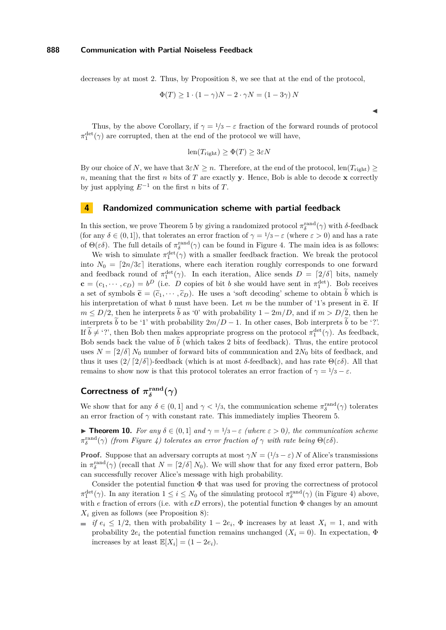decreases by at most 2. Thus, by Proposition [8,](#page-5-1) we see that at the end of the protocol,

$$
\Phi(T) \ge 1 \cdot (1 - \gamma)N - 2 \cdot \gamma N = (1 - 3\gamma)N
$$

 $\blacktriangleleft$ 

Thus, by the above Corollary, if  $\gamma = 1/3 - \varepsilon$  fraction of the forward rounds of protocol  $\pi_1^{\text{det}}(\gamma)$  are corrupted, then at the end of the protocol we will have,

$$
len(T_{right}) \ge \Phi(T) \ge 3\varepsilon N
$$

By our choice of *N*, we have that  $3\varepsilon N \geq n$ . Therefore, at the end of the protocol, len( $T_{\text{right}}$ ) ≥ *n*, meaning that the first *n* bits of *T* are exactly **y**. Hence, Bob is able to decode **x** correctly by just applying  $E^{-1}$  on the first *n* bits of *T*.

### <span id="page-7-0"></span>**4 Randomized communication scheme with partial feedback**

In this section, we prove Theorem [5](#page-4-1) by giving a randomized protocol  $\pi_{\delta}^{\text{rand}}(\gamma)$  with  $\delta$ -feedback (for any  $\delta \in (0,1]$ ), that tolerates an error fraction of  $\gamma = 1/3 - \varepsilon$  (where  $\varepsilon > 0$ ) and has a rate of  $\Theta(\varepsilon\delta)$ . The full details of  $\pi_{\delta}^{\text{rand}}(\gamma)$  can be found in Figure [4.](#page-8-0) The main idea is as follows:

We wish to simulate  $\pi_1^{\text{det}}(\gamma)$  with a smaller feedback fraction. We break the protocol into  $N_0 = [2n/3\varepsilon]$  iterations, where each iteration roughly corresponds to one forward and feedback round of  $\pi_1^{\text{det}}(\gamma)$ . In each iteration, Alice sends  $D = \lceil 2/\delta \rceil$  bits, namely  $\mathbf{c} = (c_1, \dots, c_D) = b^D$  (i.e. *D* copies of bit *b* she would have sent in  $\pi_1^{\text{det}}$ ). Bob receives a set of symbols  $\tilde{\mathbf{c}} = (\tilde{c}_1, \dots, \tilde{c}_D)$ . He uses a 'soft decoding' scheme to obtain  $\tilde{b}$  which is his interpretation of what *b* must have been. Let *m* be the number of '1's present in  $\tilde{c}$ . If  $m \leq D/2$ , then he interprets b as '0' with probability  $1 - 2m/D$ , and if  $m > D/2$ , then he interprets  $\tilde{b}$  to be '1' with probability  $2m/D - 1$ . In other cases, Bob interprets  $\tilde{b}$  to be '?'. If  $b \neq$  '?', then Bob then makes appropriate progress on the protocol  $\pi_1^{\text{det}}(\gamma)$ . As feedback, Bob sends back the value of  $\tilde{b}$  (which takes 2 bits of feedback). Thus, the entire protocol uses  $N = \left[\frac{2}{\delta}\right] N_0$  number of forward bits of communication and  $2N_0$  bits of feedback, and thus it uses  $(2/\lceil 2/\delta \rceil)$ -feedback (which is at most *δ*-feedback), and has rate  $\Theta(\varepsilon \delta)$ . All that remains to show now is that this protocol tolerates an error fraction of  $γ = 1/3 - ε$ .

#### **Correctness of**  $\pi_{\delta}^{\text{rand}}$  $\delta^{\mathrm{rand}}_{\delta}(\gamma)$

We show that for any  $\delta \in (0,1]$  and  $\gamma < 1/3$ , the communication scheme  $\pi_{\delta}^{\text{rand}}(\gamma)$  tolerates an error fraction of  $\gamma$  with constant rate. This immediately implies Theorem [5.](#page-4-1)

**► Theorem 10.** *For any*  $\delta \in (0,1]$  *and*  $\gamma = 1/3 - \varepsilon$  *(where*  $\varepsilon > 0$ *), the communication scheme*  $\pi_{\delta}^{\text{rand}}(\gamma)$  (from Figure [4\)](#page-8-0) tolerates an error fraction of  $\gamma$  with rate being  $\Theta(\varepsilon\delta)$ .

**Proof.** Suppose that an adversary corrupts at most  $\gamma N = (1/3 - \varepsilon) N$  of Alice's transmissions in  $\pi_{\delta}^{\text{rand}}(\gamma)$  (recall that  $N = \lfloor 2/\delta \rfloor N_0$ ). We will show that for any fixed error pattern, Bob can successfully recover Alice's message with high probability.

Consider the potential function  $\Phi$  that was used for proving the correctness of protocol  $\pi_1^{\text{det}}(\gamma)$ . In any iteration  $1 \leq i \leq N_0$  of the simulating protocol  $\pi_{\delta}^{\text{rand}}(\gamma)$  (in Figure [4\)](#page-8-0) above, with  $e$  fraction of errors (i.e. with  $eD$  errors), the potential function  $\Phi$  changes by an amount  $X_i$  given as follows (see Proposition [8\)](#page-5-1):

*if*  $e_i \leq 1/2$ , then with probability  $1 - 2e_i$ ,  $\Phi$  increases by at least  $X_i = 1$ , and with probability  $2e_i$  the potential function remains unchanged  $(X_i = 0)$ . In expectation,  $\Phi$ increases by at least  $\mathbb{E}[X_i] = (1 - 2e_i)$ .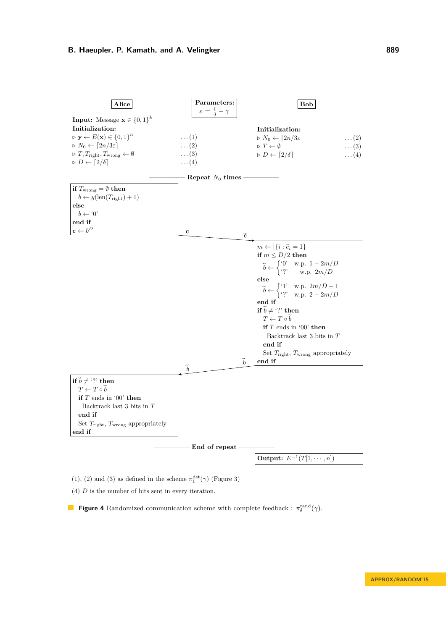<span id="page-8-0"></span>

(1), (2) and (3) as defined in the scheme  $\pi^{\rm det}_1(\gamma)$  (Figure 3)

(4) *D* is the number of bits sent in every iteration.

**Figure 4** Randomized communication scheme with complete feedback :  $\pi_{\delta}^{\text{rand}}(\gamma)$ .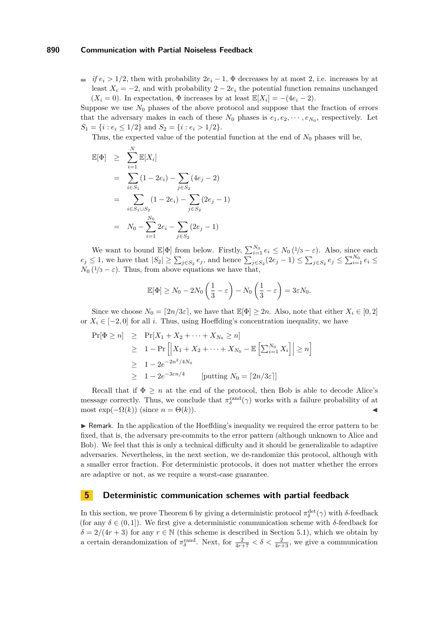$\vec{f}$  *if*  $e_i > 1/2$ , then with probability  $2e_i - 1$ ,  $\Phi$  decreases by at most 2, i.e. increases by at least  $X_i = -2$ , and with probability  $2 - 2e_i$  the potential function remains unchanged  $(X_i = 0)$ . In expectation,  $\Phi$  increases by at least  $\mathbb{E}[X_i] = -(4e_i - 2)$ .

Suppose we use  $N_0$  phases of the above protocol and suppose that the fraction of errors that the adversary makes in each of these  $N_0$  phases is  $e_1, e_2, \dots, e_{N_0}$ , respectively. Let  $S_1 = \{i : e_i \leq 1/2\}$  and  $S_2 = \{i : e_i > 1/2\}.$ 

Thus, the expected value of the potential function at the end of  $N_0$  phases will be,

$$
\mathbb{E}[\Phi] \geq \sum_{i=1}^{N} \mathbb{E}[X_i]
$$
  
=  $\sum_{i \in S_1} (1 - 2e_i) - \sum_{j \in S_2} (4e_j - 2)$   
=  $\sum_{i \in S_1 \cup S_2} (1 - 2e_i) - \sum_{j \in S_2} (2e_j - 1)$   
=  $N_0 - \sum_{i=1}^{N_0} 2e_i - \sum_{j \in S_2} (2e_j - 1)$ 

We want to bound  $\mathbb{E}[\Phi]$  from below. Firstly,  $\sum_{i=1}^{N_0} e_i \leq N_0 (1/3 - \varepsilon)$ . Also, since each  $e_j \leq 1$ , we have that  $|S_2| \geq \sum_{j \in S_2} e_j$ , and hence  $\sum_{j \in S_2} (2e_j - 1) \leq \sum_{j \in S_2} e_j \leq \sum_{i=1}^{N_0} e_i \leq$  $N_0$  ( $1/3 - \varepsilon$ ). Thus, from above equations we have that,

$$
\mathbb{E}[\Phi] \ge N_0 - 2N_0 \left(\frac{1}{3} - \varepsilon\right) - N_0 \left(\frac{1}{3} - \varepsilon\right) = 3\varepsilon N_0.
$$

Since we choose  $N_0 = \lfloor 2n/3\varepsilon \rfloor$ , we have that  $\mathbb{E}[\Phi] \geq 2n$ . Also, note that either  $X_i \in [0, 2]$ or  $X_i \in [-2, 0]$  for all *i*. Thus, using Hoeffding's concentration inequality, we have

$$
\Pr[\Phi \ge n] \ge \Pr[X_1 + X_2 + \dots + X_{N_0} \ge n]
$$
  
\n
$$
\ge 1 - \Pr\left[\left|X_1 + X_2 + \dots + X_{N_0} - \mathbb{E}\left[\sum_{i=1}^{N_0} X_i\right]\right| \ge n\right]
$$
  
\n
$$
\ge 1 - 2e^{-2n^2/4N_0}
$$
  
\n
$$
\ge 1 - 2e^{-3\epsilon n/4} \qquad [\text{putting } N_0 = \lceil 2n/3\epsilon \rceil]
$$

Recall that if  $\Phi \geq n$  at the end of the protocol, then Bob is able to decode Alice's message correctly. Thus, we conclude that  $\pi_{\delta}^{\text{rand}}(\gamma)$  works with a failure probability of at most  $\exp(-\Omega(k))$  (since  $n = \Theta(k)$ ).

 $\triangleright$  Remark. In the application of the Hoeffding's inequality we required the error pattern to be fixed, that is, the adversary pre-commits to the error pattern (although unknown to Alice and Bob). We feel that this is only a technical difficulty and it should be generalizable to adaptive adversaries. Nevertheless, in the next section, we de-randomize this protocol, although with a smaller error fraction. For deterministic protocols, it does not matter whether the errors are adaptive or not, as we require a worst-case guarantee.

### <span id="page-9-0"></span>**5 Deterministic communication schemes with partial feedback**

In this section, we prove Theorem [6](#page-4-2) by giving a deterministic protocol  $\pi_{\delta}^{\text{det}}(\gamma)$  with *δ*-feedback (for any *δ* ∈ (0*,* 1]). We first give a deterministic communication scheme with *δ*-feedback for  $\delta = 2/(4r+3)$  for any  $r \in \mathbb{N}$  (this scheme is described in Section [5.1\)](#page-10-0), which we obtain by a certain derandomization of  $\pi_{\delta}^{\text{rand}}$ . Next, for  $\frac{2}{4r+7} < \delta < \frac{2}{4r+3}$ , we give a communication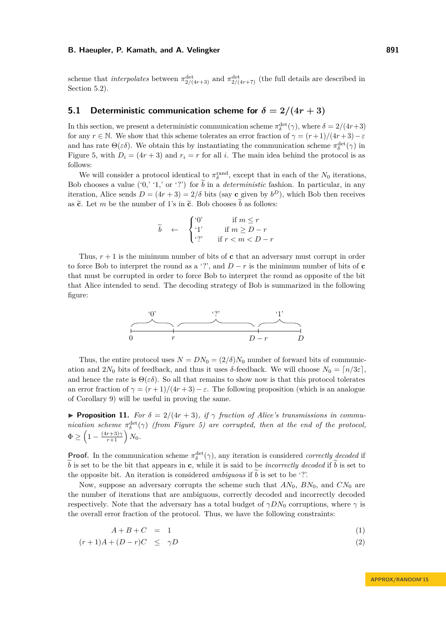scheme that *interpolates* between  $\pi_{2/(4r+3)}^{\text{det}}$  and  $\pi_{2/(4r+7)}^{\text{det}}$  (the full details are described in Section [5.2\)](#page-12-0).

# <span id="page-10-0"></span>**5.1 Deterministic communication scheme for**  $\delta = 2/(4r+3)$

In this section, we present a deterministic communication scheme  $\pi_{\delta}^{\text{det}}(\gamma)$ , where  $\delta = 2/(4r+3)$ for any  $r \in \mathbb{N}$ . We show that this scheme tolerates an error fraction of  $\gamma = (r+1)/(4r+3) - \varepsilon$ and has rate  $\Theta(\varepsilon\delta)$ . We obtain this by instantiating the communication scheme  $\pi_{\delta}^{\text{det}}(\gamma)$  in Figure [5,](#page-11-0) with  $D_i = (4r + 3)$  and  $r_i = r$  for all *i*. The main idea behind the protocol is as follows:

We will consider a protocol identical to  $\pi_{\delta}^{\text{rand}}$ , except that in each of the  $N_0$  iterations, Bob chooses a value ('0,' '1,' or '?') for  $\tilde{b}$  in a *deterministic* fashion. In particular, in any iteration, Alice sends  $D = (4r + 3) = 2/\delta$  bits (say **c** given by  $b^D$ ), which Bob then receives as  $\tilde{c}$ . Let *m* be the number of 1's in  $\tilde{c}$ . Bob chooses  $\tilde{b}$  as follows:

$$
\widetilde{b} \quad \leftarrow \quad \begin{cases}\n^{0'} & \text{if } m \leq r \\
^{1'} & \text{if } m \geq D - r \\
^{2'} & \text{if } r < m < D - r\n\end{cases}
$$

Thus,  $r + 1$  is the minimum number of bits of **c** that an adversary must corrupt in order to force Bob to interpret the round as a '?', and  $D - r$  is the minimum number of bits of **c** that must be corrupted in order to force Bob to interpret the round as opposite of the bit that Alice intended to send. The decoding strategy of Bob is summarized in the following figure:



Thus, the entire protocol uses  $N = DN_0 = (2/\delta)N_0$  number of forward bits of communication and  $2N_0$  bits of feedback, and thus it uses  $\delta$ -feedback. We will choose  $N_0 = \lceil n/3\varepsilon \rceil$ , and hence the rate is  $\Theta(\varepsilon\delta)$ . So all that remains to show now is that this protocol tolerates an error fraction of  $\gamma = (r+1)/(4r+3) - \varepsilon$ . The following proposition (which is an analogue of Corollary [9\)](#page-5-2) will be useful in proving the same.

**Proposition 11.** For  $\delta = 2/(4r+3)$ , if  $\gamma$  fraction of Alice's transmissions in commu*nication scheme*  $\pi_{\delta}^{\text{det}}(\gamma)$  *(from Figure [5\)](#page-11-0)* are corrupted, then at the end of the protocol,  $\Phi \geq \left(1 - \frac{(4r+3)\gamma}{r+1}\right)N_0.$ 

**Proof.** In the communication scheme  $\pi_{\delta}^{\text{det}}(\gamma)$ , any iteration is considered *correctly decoded* if  $\tilde{b}$  is set to be the bit that appears in **c**, while it is said to be *incorrectly decoded* if  $\tilde{b}$  is set to the opposite bit. An iteration is considered *ambiguous* if  $\tilde{b}$  is set to be '?'.

Now, suppose an adversary corrupts the scheme such that  $AN_0$ ,  $BN_0$ , and  $CN_0$  are the number of iterations that are ambiguous, correctly decoded and incorrectly decoded respectively. Note that the adversary has a total budget of  $\gamma DN_0$  corruptions, where  $\gamma$  is the overall error fraction of the protocol. Thus, we have the following constraints:

<span id="page-10-1"></span>
$$
A + B + C = 1 \tag{1}
$$

$$
(r+1)A + (D-r)C \leq \gamma D \tag{2}
$$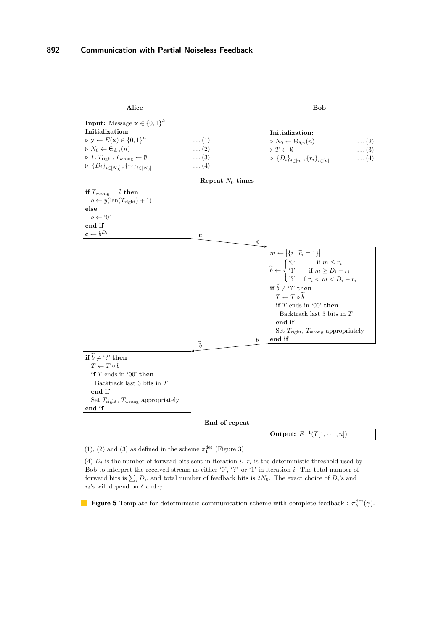<span id="page-11-0"></span>

(1), (2) and (3) as defined in the scheme  $\pi^{\rm det}_1$  (Figure 3)

(4)  $D_i$  is the number of forward bits sent in iteration *i*.  $r_i$  is the deterministic threshold used by Bob to interpret the received stream as either '0', '?' or '1' in iteration *i*. The total number of forward bits is  $\sum_i D_i$ , and total number of feedback bits is  $2N_0$ . The exact choice of  $D_i$ 's and  $r_i$ 's will depend on  $\delta$  and  $\gamma$ .

**Figure 5** Template for deterministic communication scheme with complete feedback :  $\pi_{\delta}^{\text{det}}(\gamma)$ .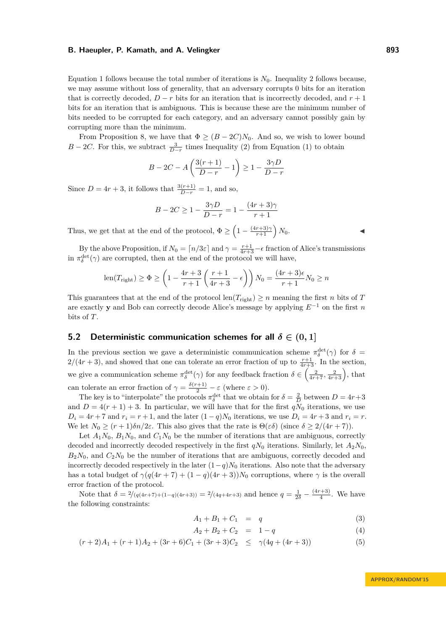Equation [1](#page-10-1) follows because the total number of iterations is  $N_0$ . Inequality [2](#page-10-1) follows because, we may assume without loss of generality, that an adversary corrupts 0 bits for an iteration that is correctly decoded,  $D - r$  bits for an iteration that is incorrectly decoded, and  $r + 1$ bits for an iteration that is ambiguous. This is because these are the minimum number of bits needed to be corrupted for each category, and an adversary cannot possibly gain by corrupting more than the minimum.

From Proposition [8,](#page-5-1) we have that  $\Phi \geq (B - 2C)N_0$ . And so, we wish to lower bound *B* − 2*C*. For this, we subtract  $\frac{3}{D-r}$  times Inequality [\(2\)](#page-10-1) from Equation [\(1\)](#page-10-1) to obtain

$$
B - 2C - A\left(\frac{3(r+1)}{D-r} - 1\right) \ge 1 - \frac{3\gamma D}{D-r}
$$

Since  $D = 4r + 3$ , it follows that  $\frac{3(r+1)}{D-r} = 1$ , and so,

$$
B - 2C \ge 1 - \frac{3\gamma D}{D - r} = 1 - \frac{(4r + 3)\gamma}{r + 1}
$$

Thus, we get that at the end of the protocol,  $\Phi \geq \left(1 - \frac{(4r+3)\gamma}{r+1}\right) N_0$ .

By the above Proposition, if  $N_0 = \lceil n/3\varepsilon \rceil$  and  $\gamma = \frac{r+1}{4r+3} - \epsilon$  fraction of Alice's transmissions in  $\pi_{\delta}^{\text{det}}(\gamma)$  are corrupted, then at the end of the protocol we will have,

$$
\text{len}(T_{\text{right}}) \ge \Phi \ge \left(1 - \frac{4r + 3}{r + 1} \left(\frac{r + 1}{4r + 3} - \epsilon\right)\right) N_0 = \frac{(4r + 3)\epsilon}{r + 1} N_0 \ge n
$$

This guarantees that at the end of the protocol len $(T_{\text{right}}) \geq n$  meaning the first *n* bits of *T* are exactly **y** and Bob can correctly decode Alice's message by applying *E*<sup>−</sup><sup>1</sup> on the first *n* bits of *T*.

### <span id="page-12-0"></span>**5.2 Deterministic communication schemes for all**  $\delta \in (0,1]$

In the previous section we gave a deterministic communication scheme  $\pi_{\delta}^{\text{det}}(\gamma)$  for  $\delta =$  $2/(4r+3)$ , and showed that one can tolerate an error fraction of up to  $\frac{r+1}{4r+3}$ . In the section, we give a communication scheme  $\pi_{\delta}^{\text{det}}(\gamma)$  for any feedback fraction  $\delta \in \left(\frac{2}{4r+7}, \frac{2}{4r+3}\right)$ , that can tolerate an error fraction of  $\gamma = \frac{\delta(r+1)}{2} - \varepsilon$  (where  $\varepsilon > 0$ ).

The key is to "interpolate" the protocols  $\pi_{\delta}^{\text{det}}$  that we obtain for  $\delta = \frac{2}{D}$  between  $D = 4r + 3$ and  $D = 4(r + 1) + 3$ . In particular, we will have that for the first  $qN_0$  iterations, we use  $D_i = 4r + 7$  and  $r_i = r + 1$ , and the later  $(1 - q)N_0$  iterations, we use  $D_i = 4r + 3$  and  $r_i = r$ . We let  $N_0 \ge (r+1)\delta n/2\varepsilon$ . This also gives that the rate is  $\Theta(\varepsilon\delta)$  (since  $\delta \ge 2/(4r+7)$ ).

Let  $A_1N_0$ ,  $B_1N_0$ , and  $C_1N_0$  be the number of iterations that are ambiguous, correctly decoded and incorrectly decoded respectively in the first  $qN_0$  iterations. Similarly, let  $A_2N_0$ ,  $B_2N_0$ , and  $C_2N_0$  be the number of iterations that are ambiguous, correctly decoded and incorrectly decoded respectively in the later  $(1-q)N_0$  iterations. Also note that the adversary has a total budget of  $\gamma(q(4r + 7) + (1 - q)(4r + 3))N_0$  corruptions, where  $\gamma$  is the overall error fraction of the protocol.

Note that  $\delta = \frac{2}{q(4r+7)+(1-q)(4r+3)} = \frac{2}{4q+4r+3}$  and hence  $q = \frac{1}{2\delta} - \frac{(4r+3)}{4}$  $\frac{(+3)}{4}$ . We have the following constraints:

<span id="page-12-1"></span>
$$
A_1 + B_1 + C_1 = q \tag{3}
$$

$$
A_2 + B_2 + C_2 = 1 - q \tag{4}
$$

$$
(r+2)A_1 + (r+1)A_2 + (3r+6)C_1 + (3r+3)C_2 \leq \gamma(4q + (4r+3))
$$
\n(5)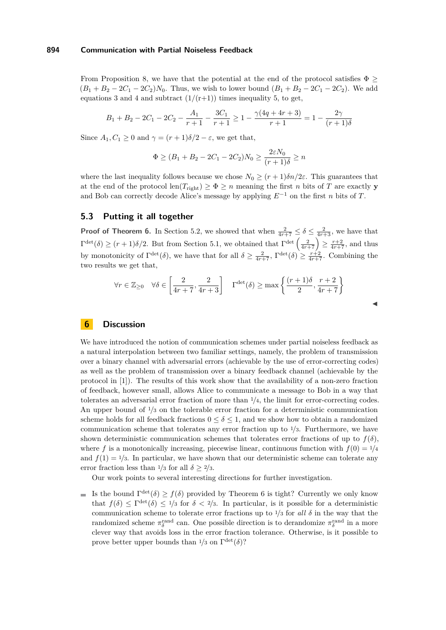From Proposition [8,](#page-5-1) we have that the potential at the end of the protocol satisfies  $\Phi \geq$  $(B_1 + B_2 - 2C_1 - 2C_2)N_0$ . Thus, we wish to lower bound  $(B_1 + B_2 - 2C_1 - 2C_2)$ . We add equations [3](#page-12-1) and [4](#page-12-1) and subtract  $(1/(r+1))$  times inequality [5,](#page-12-1) to get,

$$
B_1 + B_2 - 2C_1 - 2C_2 - \frac{A_1}{r+1} - \frac{3C_1}{r+1} \ge 1 - \frac{\gamma(4q+4r+3)}{r+1} = 1 - \frac{2\gamma}{(r+1)\delta}
$$

Since  $A_1, C_1 \geq 0$  and  $\gamma = (r+1)\delta/2 - \varepsilon$ , we get that,

$$
\Phi \ge (B_1 + B_2 - 2C_1 - 2C_2)N_0 \ge \frac{2\varepsilon N_0}{(r+1)\delta} \ge n
$$

where the last inequality follows because we chose  $N_0 \ge (r+1)\delta n/2\varepsilon$ . This guarantees that at the end of the protocol len $(T_{\text{right}}) \geq \Phi \geq n$  meaning the first *n* bits of *T* are exactly **y** and Bob can correctly decode Alice's message by applying  $E^{-1}$  on the first *n* bits of *T*.

### **5.3 Putting it all together**

**Proof of Theorem [6.](#page-4-2)** In Section [5.2,](#page-12-0) we showed that when  $\frac{2}{4r+7} \leq \delta \leq \frac{2}{4r+3}$ , we have that  $\Gamma^{\text{det}}(\delta) \ge (r+1)\delta/2$ . But from Section [5.1,](#page-10-0) we obtained that  $\Gamma^{\text{det}}\left(\frac{2}{4r+7}\right) \ge \frac{r+2}{4r+7}$ , and thus by monotonicity of  $\Gamma^{\text{det}}(\delta)$ , we have that for all  $\delta \geq \frac{2}{4r+7}$ ,  $\Gamma^{\text{det}}(\delta) \geq \frac{r+2}{4r+7}$ . Combining the two results we get that,

$$
\forall r \in \mathbb{Z}_{\geq 0} \quad \forall \delta \in \left[\frac{2}{4r+7}, \frac{2}{4r+3}\right] \quad \Gamma^{\text{det}}(\delta) \geq \max\left\{\frac{(r+1)\delta}{2}, \frac{r+2}{4r+7}\right\}
$$

J

### <span id="page-13-0"></span>**6 Discussion**

We have introduced the notion of communication schemes under partial noiseless feedback as a natural interpolation between two familiar settings, namely, the problem of transmission over a binary channel with adversarial errors (achievable by the use of error-correcting codes) as well as the problem of transmission over a binary feedback channel (achievable by the protocol in [\[1\]](#page-14-0)). The results of this work show that the availability of a non-zero fraction of feedback, however small, allows Alice to communicate a message to Bob in a way that tolerates an adversarial error fraction of more than <sup>1</sup>*/*4, the limit for error-correcting codes. An upper bound of <sup>1</sup>*/*<sup>3</sup> on the tolerable error fraction for a deterministic communication scheme holds for all feedback fractions  $0 \leq \delta \leq 1$ , and we show how to obtain a randomized communication scheme that tolerates any error fraction up to <sup>1</sup>*/*3. Furthermore, we have shown deterministic communication schemes that tolerates error fractions of up to  $f(\delta)$ , where *f* is a monotonically increasing, piecewise linear, continuous function with  $f(0) = \frac{1}{4}$ and  $f(1) = 1/3$ . In particular, we have shown that our deterministic scheme can tolerate any error fraction less than  $\frac{1}{3}$  for all  $\delta > \frac{2}{3}$ .

Our work points to several interesting directions for further investigation.

Is the bound  $\Gamma^{\text{det}}(\delta) \ge f(\delta)$  provided by Theorem [6](#page-4-2) is tight? Currently we only know that  $f(\delta) \leq \Gamma^{\text{det}}(\delta) \leq \frac{1}{3}$  for  $\delta < \frac{2}{3}$ . In particular, is it possible for a deterministic communication scheme to tolerate error fractions up to  $\frac{1}{3}$  for *all*  $\delta$  in the way that the randomized scheme  $\pi_{\delta}^{\text{rand}}$  can. One possible direction is to derandomize  $\pi_{\delta}^{\text{rand}}$  in a more clever way that avoids loss in the error fraction tolerance. Otherwise, is it possible to prove better upper bounds than  $1/3$  on  $\Gamma^{\text{det}}(\delta)$ ?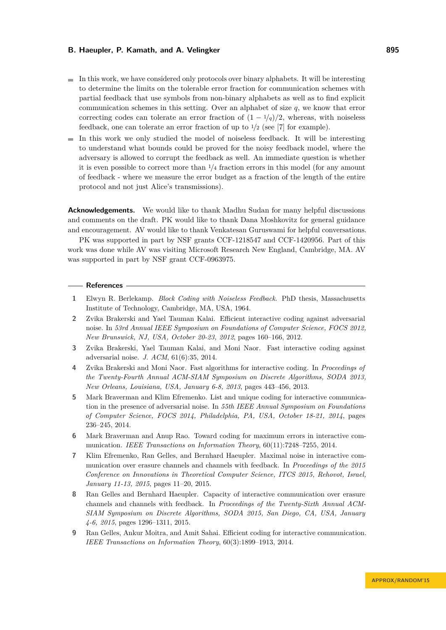- $\blacksquare$  In this work, we have considered only protocols over binary alphabets. It will be interesting to determine the limits on the tolerable error fraction for communication schemes with partial feedback that use symbols from non-binary alphabets as well as to find explicit communication schemes in this setting. Over an alphabet of size *q*, we know that error correcting codes can tolerate an error fraction of  $(1 - \frac{1}{q})/2$ , whereas, with noiseless feedback, one can tolerate an error fraction of up to <sup>1</sup>*/*<sup>2</sup> (see [\[7\]](#page-14-7) for example).
- $\blacksquare$  In this work we only studied the model of noiseless feedback. It will be interesting to understand what bounds could be proved for the noisy feedback model, where the adversary is allowed to corrupt the feedback as well. An immediate question is whether it is even possible to correct more than <sup>1</sup>*/*<sup>4</sup> fraction errors in this model (for any amount of feedback - where we measure the error budget as a fraction of the length of the entire protocol and not just Alice's transmissions).

**Acknowledgements.** We would like to thank Madhu Sudan for many helpful discussions and comments on the draft. PK would like to thank Dana Moshkovitz for general guidance and encouragement. AV would like to thank Venkatesan Guruswami for helpful conversations.

PK was supported in part by NSF grants CCF-1218547 and CCF-1420956. Part of this work was done while AV was visiting Microsoft Research New England, Cambridge, MA. AV was supported in part by NSF grant CCF-0963975.

#### **References**

- <span id="page-14-0"></span>**1** Elwyn R. Berlekamp. *Block Coding with Noiseless Feedback*. PhD thesis, Massachusetts Institute of Technology, Cambridge, MA, USA, 1964.
- <span id="page-14-2"></span>**2** Zvika Brakerski and Yael Tauman Kalai. Efficient interactive coding against adversarial noise. In *53rd Annual IEEE Symposium on Foundations of Computer Science, FOCS 2012, New Brunswick, NJ, USA, October 20-23, 2012*, pages 160–166, 2012.
- <span id="page-14-4"></span>**3** Zvika Brakerski, Yael Tauman Kalai, and Moni Naor. Fast interactive coding against adversarial noise. *J. ACM*, 61(6):35, 2014.
- <span id="page-14-3"></span>**4** Zvika Brakerski and Moni Naor. Fast algorithms for interactive coding. In *Proceedings of the Twenty-Fourth Annual ACM-SIAM Symposium on Discrete Algorithms, SODA 2013, New Orleans, Louisiana, USA, January 6-8, 2013*, pages 443–456, 2013.
- <span id="page-14-6"></span>**5** Mark Braverman and Klim Efremenko. List and unique coding for interactive communication in the presence of adversarial noise. In *55th IEEE Annual Symposium on Foundations of Computer Science, FOCS 2014, Philadelphia, PA, USA, October 18-21, 2014*, pages 236–245, 2014.
- <span id="page-14-1"></span>**6** Mark Braverman and Anup Rao. Toward coding for maximum errors in interactive communication. *IEEE Transactions on Information Theory*, 60(11):7248–7255, 2014.
- <span id="page-14-7"></span>**7** Klim Efremenko, Ran Gelles, and Bernhard Haeupler. Maximal noise in interactive communication over erasure channels and channels with feedback. In *Proceedings of the 2015 Conference on Innovations in Theoretical Computer Science, ITCS 2015, Rehovot, Israel, January 11-13, 2015*, pages 11–20, 2015.
- <span id="page-14-8"></span>**8** Ran Gelles and Bernhard Haeupler. Capacity of interactive communication over erasure channels and channels with feedback. In *Proceedings of the Twenty-Sixth Annual ACM-SIAM Symposium on Discrete Algorithms, SODA 2015, San Diego, CA, USA, January 4-6, 2015*, pages 1296–1311, 2015.
- <span id="page-14-5"></span>**9** Ran Gelles, Ankur Moitra, and Amit Sahai. Efficient coding for interactive communication. *IEEE Transactions on Information Theory*, 60(3):1899–1913, 2014.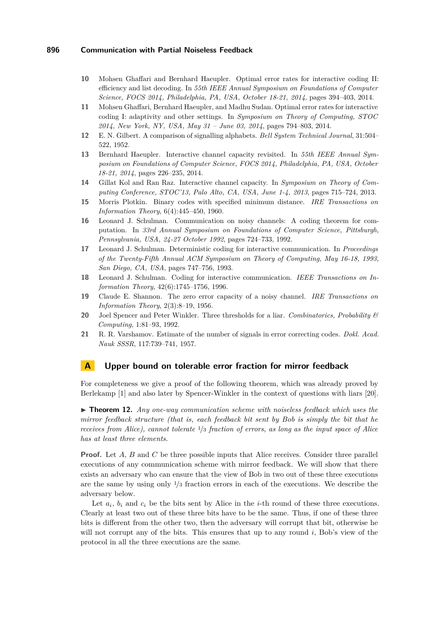- <span id="page-15-9"></span>**10** Mohsen Ghaffari and Bernhard Haeupler. Optimal error rates for interactive coding II: efficiency and list decoding. In *55th IEEE Annual Symposium on Foundations of Computer Science, FOCS 2014, Philadelphia, PA, USA, October 18-21, 2014*, pages 394–403, 2014.
- <span id="page-15-8"></span>**11** Mohsen Ghaffari, Bernhard Haeupler, and Madhu Sudan. Optimal error rates for interactive coding I: adaptivity and other settings. In *Symposium on Theory of Computing, STOC 2014, New York, NY, USA, May 31 – June 03, 2014*, pages 794–803, 2014.
- <span id="page-15-1"></span>**12** E. N. Gilbert. A comparison of signalling alphabets. *Bell System Technical Journal*, 31:504– 522, 1952.
- <span id="page-15-11"></span>**13** Bernhard Haeupler. Interactive channel capacity revisited. In *55th IEEE Annual Symposium on Foundations of Computer Science, FOCS 2014, Philadelphia, PA, USA, October 18-21, 2014*, pages 226–235, 2014.
- <span id="page-15-10"></span>**14** Gillat Kol and Ran Raz. Interactive channel capacity. In *Symposium on Theory of Computing Conference, STOC'13, Palo Alto, CA, USA, June 1-4, 2013*, pages 715–724, 2013.
- <span id="page-15-3"></span>**15** Morris Plotkin. Binary codes with specified minimum distance. *IRE Transactions on Information Theory*, 6(4):445–450, 1960.
- <span id="page-15-5"></span>**16** Leonard J. Schulman. Communication on noisy channels: A coding theorem for computation. In *33rd Annual Symposium on Foundations of Computer Science, Pittsburgh, Pennsylvania, USA, 24-27 October 1992*, pages 724–733, 1992.
- <span id="page-15-6"></span>**17** Leonard J. Schulman. Deterministic coding for interactive communication. In *Proceedings of the Twenty-Fifth Annual ACM Symposium on Theory of Computing, May 16-18, 1993, San Diego, CA, USA*, pages 747–756, 1993.
- <span id="page-15-7"></span>**18** Leonard J. Schulman. Coding for interactive communication. *IEEE Transactions on Information Theory*, 42(6):1745–1756, 1996.
- <span id="page-15-4"></span>**19** Claude E. Shannon. The zero error capacity of a noisy channel. *IRE Transactions on Information Theory*, 2(3):8–19, 1956.
- <span id="page-15-0"></span>**20** Joel Spencer and Peter Winkler. Three thresholds for a liar. *Combinatorics, Probability & Computing*, 1:81–93, 1992.
- <span id="page-15-2"></span>**21** R. R. Varshamov. Estimate of the number of signals in error correcting codes. *Dokl. Acad. Nauk SSSR*, 117:739–741, 1957.

### <span id="page-15-12"></span>**A Upper bound on tolerable error fraction for mirror feedback**

For completeness we give a proof of the following theorem, which was already proved by Berlekamp [\[1\]](#page-14-0) and also later by Spencer-Winkler in the context of questions with liars [\[20\]](#page-15-0).

▶ **Theorem 12.** *Any one-way communication scheme with noiseless feedback which uses the mirror feedback structure (that is, each feedback bit sent by Bob is simply the bit that he receives from Alice), cannot tolerate* <sup>1</sup>*/*<sup>3</sup> *fraction of errors, as long as the input space of Alice has at least three elements.*

**Proof.** Let *A*, *B* and *C* be three possible inputs that Alice receives. Consider three parallel executions of any communication scheme with mirror feedback. We will show that there exists an adversary who can ensure that the view of Bob in two out of these three executions are the same by using only <sup>1</sup>*/*<sup>3</sup> fraction errors in each of the executions. We describe the adversary below.

Let  $a_i$ ,  $b_i$  and  $c_i$  be the bits sent by Alice in the *i*-th round of these three executions. Clearly at least two out of these three bits have to be the same. Thus, if one of these three bits is different from the other two, then the adversary will corrupt that bit, otherwise he will not corrupt any of the bits. This ensures that up to any round *i*, Bob's view of the protocol in all the three executions are the same.